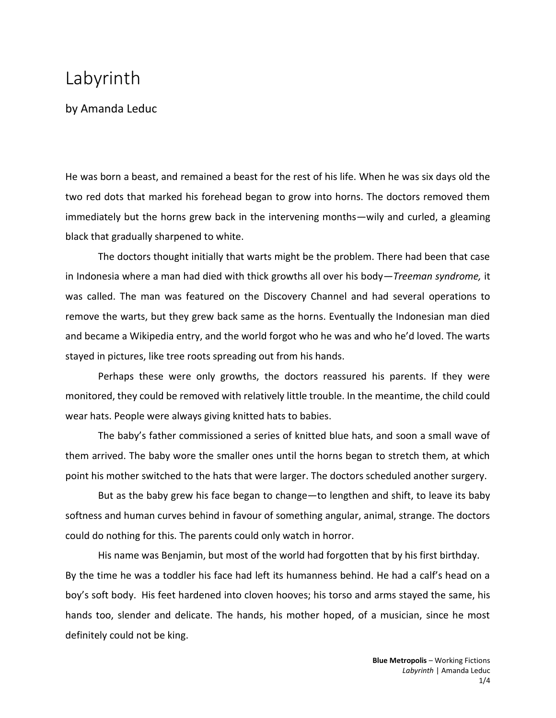## Labyrinth

## by Amanda Leduc

He was born a beast, and remained a beast for the rest of his life. When he was six days old the two red dots that marked his forehead began to grow into horns. The doctors removed them immediately but the horns grew back in the intervening months—wily and curled, a gleaming black that gradually sharpened to white.

The doctors thought initially that warts might be the problem. There had been that case in Indonesia where a man had died with thick growths all over his body—*Treeman syndrome,* it was called. The man was featured on the Discovery Channel and had several operations to remove the warts, but they grew back same as the horns. Eventually the Indonesian man died and became a Wikipedia entry, and the world forgot who he was and who he'd loved. The warts stayed in pictures, like tree roots spreading out from his hands.

Perhaps these were only growths, the doctors reassured his parents. If they were monitored, they could be removed with relatively little trouble. In the meantime, the child could wear hats. People were always giving knitted hats to babies.

The baby's father commissioned a series of knitted blue hats, and soon a small wave of them arrived. The baby wore the smaller ones until the horns began to stretch them, at which point his mother switched to the hats that were larger. The doctors scheduled another surgery.

But as the baby grew his face began to change—to lengthen and shift, to leave its baby softness and human curves behind in favour of something angular, animal, strange. The doctors could do nothing for this. The parents could only watch in horror.

His name was Benjamin, but most of the world had forgotten that by his first birthday. By the time he was a toddler his face had left its humanness behind. He had a calf's head on a boy's soft body. His feet hardened into cloven hooves; his torso and arms stayed the same, his hands too, slender and delicate. The hands, his mother hoped, of a musician, since he most definitely could not be king.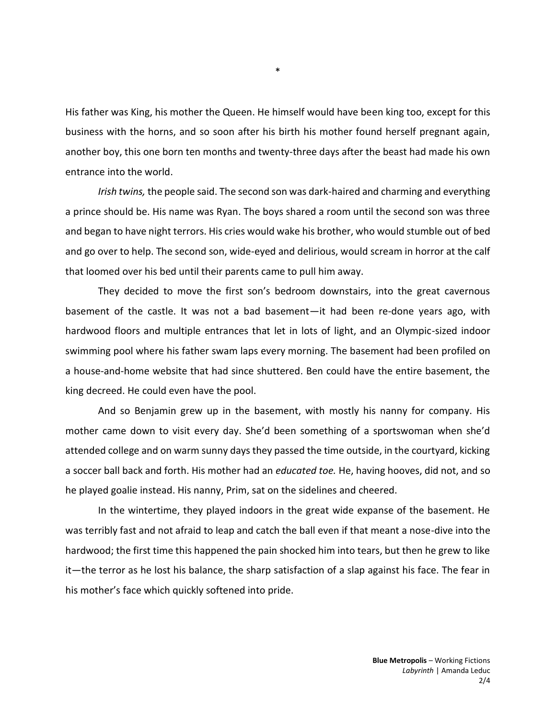His father was King, his mother the Queen. He himself would have been king too, except for this business with the horns, and so soon after his birth his mother found herself pregnant again, another boy, this one born ten months and twenty-three days after the beast had made his own entrance into the world.

*Irish twins,* the people said. The second son was dark-haired and charming and everything a prince should be. His name was Ryan. The boys shared a room until the second son was three and began to have night terrors. His cries would wake his brother, who would stumble out of bed and go over to help. The second son, wide-eyed and delirious, would scream in horror at the calf that loomed over his bed until their parents came to pull him away.

They decided to move the first son's bedroom downstairs, into the great cavernous basement of the castle. It was not a bad basement—it had been re-done years ago, with hardwood floors and multiple entrances that let in lots of light, and an Olympic-sized indoor swimming pool where his father swam laps every morning. The basement had been profiled on a house-and-home website that had since shuttered. Ben could have the entire basement, the king decreed. He could even have the pool.

And so Benjamin grew up in the basement, with mostly his nanny for company. His mother came down to visit every day. She'd been something of a sportswoman when she'd attended college and on warm sunny days they passed the time outside, in the courtyard, kicking a soccer ball back and forth. His mother had an *educated toe.* He, having hooves, did not, and so he played goalie instead. His nanny, Prim, sat on the sidelines and cheered.

In the wintertime, they played indoors in the great wide expanse of the basement. He was terribly fast and not afraid to leap and catch the ball even if that meant a nose-dive into the hardwood; the first time this happened the pain shocked him into tears, but then he grew to like it—the terror as he lost his balance, the sharp satisfaction of a slap against his face. The fear in his mother's face which quickly softened into pride.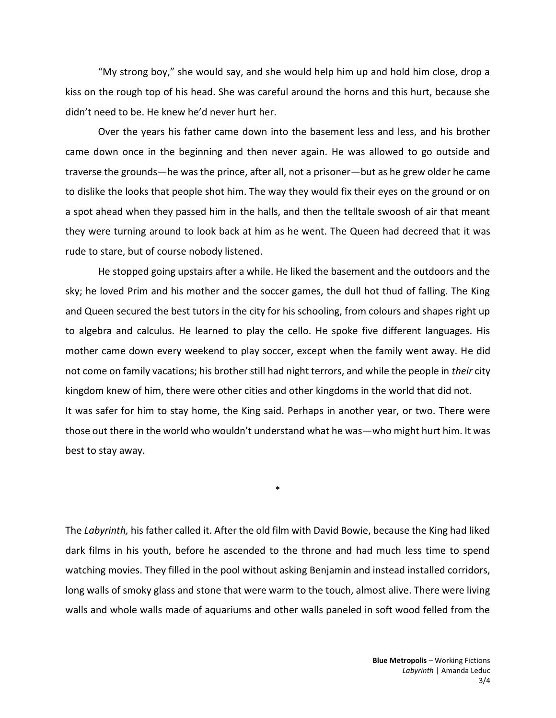"My strong boy," she would say, and she would help him up and hold him close, drop a kiss on the rough top of his head. She was careful around the horns and this hurt, because she didn't need to be. He knew he'd never hurt her.

Over the years his father came down into the basement less and less, and his brother came down once in the beginning and then never again. He was allowed to go outside and traverse the grounds—he was the prince, after all, not a prisoner—but as he grew older he came to dislike the looks that people shot him. The way they would fix their eyes on the ground or on a spot ahead when they passed him in the halls, and then the telltale swoosh of air that meant they were turning around to look back at him as he went. The Queen had decreed that it was rude to stare, but of course nobody listened.

He stopped going upstairs after a while. He liked the basement and the outdoors and the sky; he loved Prim and his mother and the soccer games, the dull hot thud of falling. The King and Queen secured the best tutors in the city for his schooling, from colours and shapes right up to algebra and calculus. He learned to play the cello. He spoke five different languages. His mother came down every weekend to play soccer, except when the family went away. He did not come on family vacations; his brother still had night terrors, and while the people in *their* city kingdom knew of him, there were other cities and other kingdoms in the world that did not. It was safer for him to stay home, the King said. Perhaps in another year, or two. There were those out there in the world who wouldn't understand what he was—who might hurt him. It was best to stay away.

The *Labyrinth,* his father called it. After the old film with David Bowie, because the King had liked dark films in his youth, before he ascended to the throne and had much less time to spend watching movies. They filled in the pool without asking Benjamin and instead installed corridors, long walls of smoky glass and stone that were warm to the touch, almost alive. There were living walls and whole walls made of aquariums and other walls paneled in soft wood felled from the

\*